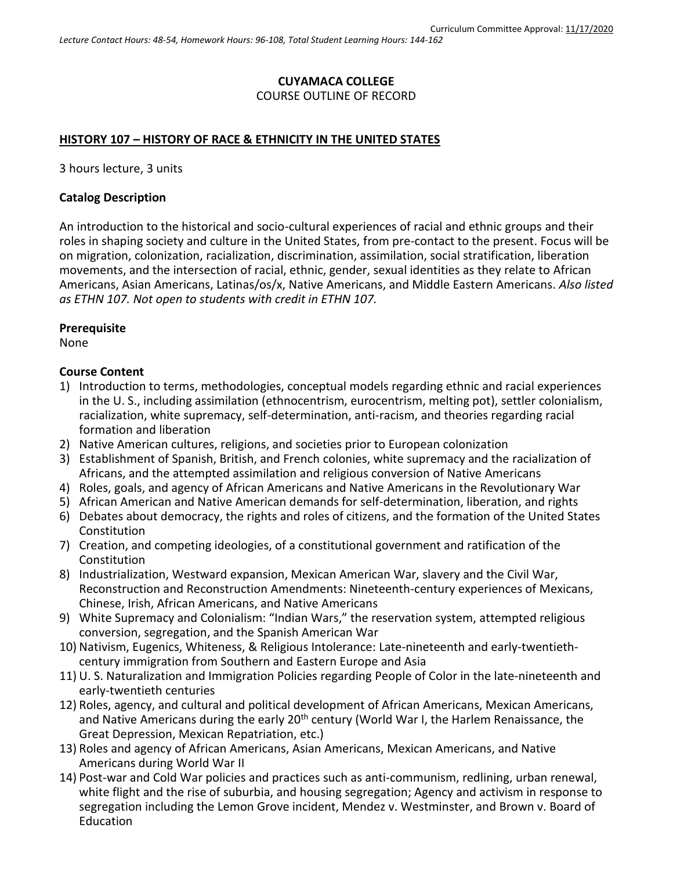# **CUYAMACA COLLEGE** COURSE OUTLINE OF RECORD

### **HISTORY 107 – HISTORY OF RACE & ETHNICITY IN THE UNITED STATES**

3 hours lecture, 3 units

#### **Catalog Description**

An introduction to the historical and socio-cultural experiences of racial and ethnic groups and their roles in shaping society and culture in the United States, from pre-contact to the present. Focus will be on migration, colonization, racialization, discrimination, assimilation, social stratification, liberation movements, and the intersection of racial, ethnic, gender, sexual identities as they relate to African Americans, Asian Americans, Latinas/os/x, Native Americans, and Middle Eastern Americans. *Also listed as ETHN 107. Not open to students with credit in ETHN 107.*

#### **Prerequisite**

None

#### **Course Content**

- 1) Introduction to terms, methodologies, conceptual models regarding ethnic and racial experiences in the U. S., including assimilation (ethnocentrism, eurocentrism, melting pot), settler colonialism, racialization, white supremacy, self-determination, anti-racism, and theories regarding racial formation and liberation
- 2) Native American cultures, religions, and societies prior to European colonization
- 3) Establishment of Spanish, British, and French colonies, white supremacy and the racialization of Africans, and the attempted assimilation and religious conversion of Native Americans
- 4) Roles, goals, and agency of African Americans and Native Americans in the Revolutionary War
- 5) African American and Native American demands for self-determination, liberation, and rights
- 6) Debates about democracy, the rights and roles of citizens, and the formation of the United States Constitution
- 7) Creation, and competing ideologies, of a constitutional government and ratification of the **Constitution**
- 8) Industrialization, Westward expansion, Mexican American War, slavery and the Civil War, Reconstruction and Reconstruction Amendments: Nineteenth-century experiences of Mexicans, Chinese, Irish, African Americans, and Native Americans
- 9) White Supremacy and Colonialism: "Indian Wars," the reservation system, attempted religious conversion, segregation, and the Spanish American War
- 10) Nativism, Eugenics, Whiteness, & Religious Intolerance: Late-nineteenth and early-twentiethcentury immigration from Southern and Eastern Europe and Asia
- 11) U. S. Naturalization and Immigration Policies regarding People of Color in the late-nineteenth and early-twentieth centuries
- 12) Roles, agency, and cultural and political development of African Americans, Mexican Americans, and Native Americans during the early 20<sup>th</sup> century (World War I, the Harlem Renaissance, the Great Depression, Mexican Repatriation, etc.)
- 13) Roles and agency of African Americans, Asian Americans, Mexican Americans, and Native Americans during World War II
- 14) Post-war and Cold War policies and practices such as anti-communism, redlining, urban renewal, white flight and the rise of suburbia, and housing segregation; Agency and activism in response to segregation including the Lemon Grove incident, Mendez v. Westminster, and Brown v. Board of Education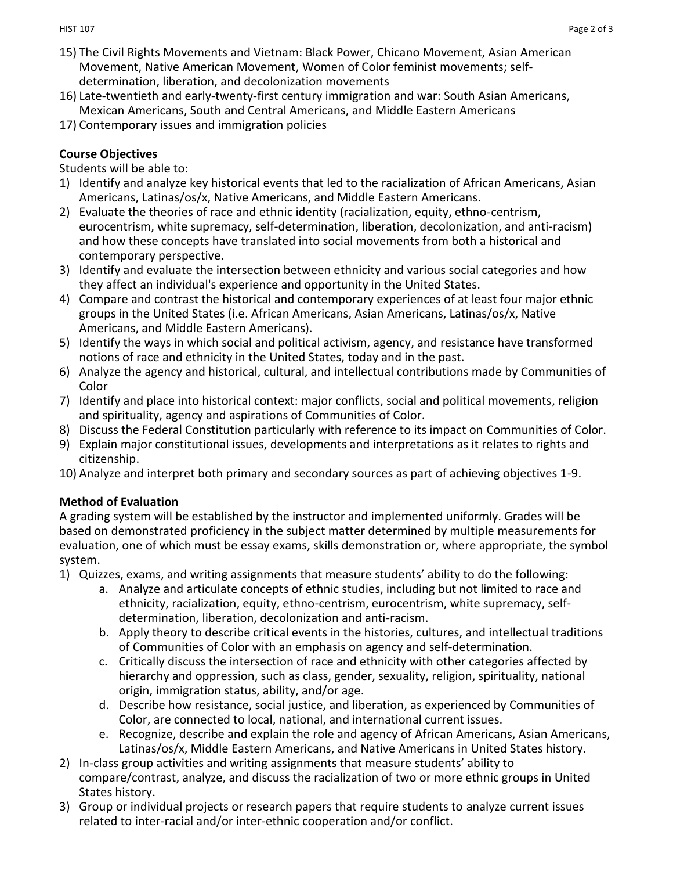- 15) The Civil Rights Movements and Vietnam: Black Power, Chicano Movement, Asian American Movement, Native American Movement, Women of Color feminist movements; selfdetermination, liberation, and decolonization movements
- 16) Late-twentieth and early-twenty-first century immigration and war: South Asian Americans, Mexican Americans, South and Central Americans, and Middle Eastern Americans
- 17) Contemporary issues and immigration policies

# **Course Objectives**

Students will be able to:

- 1) Identify and analyze key historical events that led to the racialization of African Americans, Asian Americans, Latinas/os/x, Native Americans, and Middle Eastern Americans.
- 2) Evaluate the theories of race and ethnic identity (racialization, equity, ethno-centrism, eurocentrism, white supremacy, self-determination, liberation, decolonization, and anti-racism) and how these concepts have translated into social movements from both a historical and contemporary perspective.
- 3) Identify and evaluate the intersection between ethnicity and various social categories and how they affect an individual's experience and opportunity in the United States.
- 4) Compare and contrast the historical and contemporary experiences of at least four major ethnic groups in the United States (i.e. African Americans, Asian Americans, Latinas/os/x, Native Americans, and Middle Eastern Americans).
- 5) Identify the ways in which social and political activism, agency, and resistance have transformed notions of race and ethnicity in the United States, today and in the past.
- 6) Analyze the agency and historical, cultural, and intellectual contributions made by Communities of Color
- 7) Identify and place into historical context: major conflicts, social and political movements, religion and spirituality, agency and aspirations of Communities of Color.
- 8) Discuss the Federal Constitution particularly with reference to its impact on Communities of Color.
- 9) Explain major constitutional issues, developments and interpretations as it relates to rights and citizenship.
- 10) Analyze and interpret both primary and secondary sources as part of achieving objectives 1-9.

# **Method of Evaluation**

A grading system will be established by the instructor and implemented uniformly. Grades will be based on demonstrated proficiency in the subject matter determined by multiple measurements for evaluation, one of which must be essay exams, skills demonstration or, where appropriate, the symbol system.

- 1) Quizzes, exams, and writing assignments that measure students' ability to do the following:
	- a. Analyze and articulate concepts of ethnic studies, including but not limited to race and ethnicity, racialization, equity, ethno-centrism, eurocentrism, white supremacy, selfdetermination, liberation, decolonization and anti-racism.
	- b. Apply theory to describe critical events in the histories, cultures, and intellectual traditions of Communities of Color with an emphasis on agency and self-determination.
	- c. Critically discuss the intersection of race and ethnicity with other categories affected by hierarchy and oppression, such as class, gender, sexuality, religion, spirituality, national origin, immigration status, ability, and/or age.
	- d. Describe how resistance, social justice, and liberation, as experienced by Communities of Color, are connected to local, national, and international current issues.
	- e. Recognize, describe and explain the role and agency of African Americans, Asian Americans, Latinas/os/x, Middle Eastern Americans, and Native Americans in United States history.
- 2) In-class group activities and writing assignments that measure students' ability to compare/contrast, analyze, and discuss the racialization of two or more ethnic groups in United States history.
- 3) Group or individual projects or research papers that require students to analyze current issues related to inter-racial and/or inter-ethnic cooperation and/or conflict.